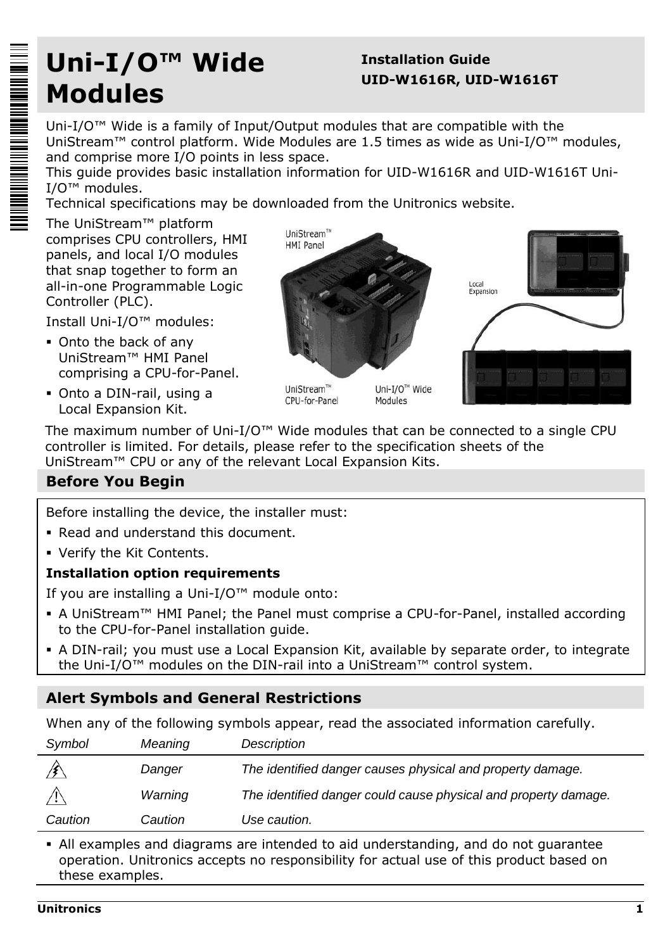# **Uni-I/O™ Wide Modules**

# **Installation Guide UID-W1616R, UID-W1616T**

Uni-I/O™ Wide is a family of Input/Output modules that are compatible with the UniStream™ control platform. Wide Modules are 1.5 times as wide as Uni-I/O™ modules, and comprise more I/O points in less space.

This guide provides basic installation information for UID-W1616R and UID-W1616T Uni-I/O™ modules.

Technical specifications may be downloaded from the Unitronics website.

The UniStream™ platform comprises CPU controllers, HMI panels, and local I/O modules that snap together to form an all-in-one Programmable Logic Controller (PLC).

Install Uni-I/O™ modules:

- Onto the back of any UniStream™ HMI Panel comprising a CPU-for-Panel.
- Onto a DIN-rail, using a Local Expansion Kit.



UniStream™ CPU-for-Panel

Uni-I/O™ Wide Modules



The maximum number of Uni-I/O™ Wide modules that can be connected to a single CPU controller is limited. For details, please refer to the specification sheets of the UniStream™ CPU or any of the relevant Local Expansion Kits.

# **Before You Begin**

Before installing the device, the installer must:

- Read and understand this document.
- Verify the Kit Contents.

# **Installation option requirements**

If you are installing a Uni-I/O™ module onto:

- A UniStream™ HMI Panel; the Panel must comprise a CPU-for-Panel, installed according to the CPU-for-Panel installation guide.
- A DIN-rail; you must use a Local Expansion Kit, available by separate order, to integrate the Uni-I/O™ modules on the DIN-rail into a UniStream™ control system.

# **Alert Symbols and General Restrictions**

When any of the following symbols appear, read the associated information carefully.

| Symbol     | Meaning | Description                                                     |
|------------|---------|-----------------------------------------------------------------|
|            | Danger  | The identified danger causes physical and property damage.      |
| $\sqrt{N}$ | Warning | The identified danger could cause physical and property damage. |
| Caution    | Caution | Use caution.                                                    |

 All examples and diagrams are intended to aid understanding, and do not guarantee operation. Unitronics accepts no responsibility for actual use of this product based on these examples.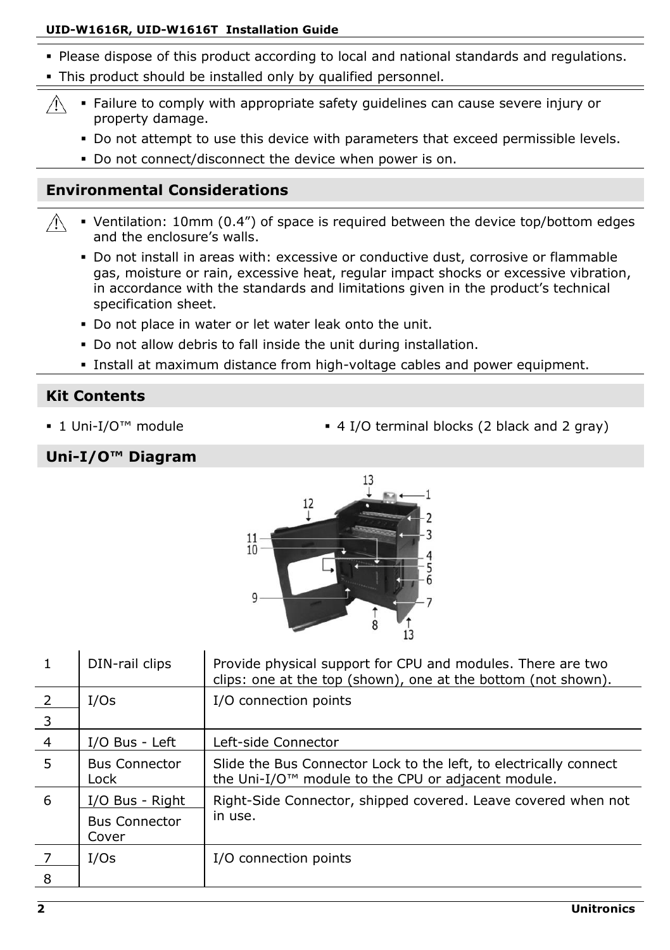### **UID-W1616R, UID-W1616T Installation Guide**

- Please dispose of this product according to local and national standards and regulations.
- This product should be installed only by qualified personnel.
- Failure to comply with appropriate safety guidelines can cause severe injury or  $\wedge$ property damage.
	- Do not attempt to use this device with parameters that exceed permissible levels.
	- Do not connect/disconnect the device when power is on.

# **Environmental Considerations**

- Ventilation: 10mm (0.4") of space is required between the device top/bottom edges  $\bigwedge$ and the enclosure's walls.
	- Do not install in areas with: excessive or conductive dust, corrosive or flammable gas, moisture or rain, excessive heat, regular impact shocks or excessive vibration, in accordance with the standards and limitations given in the product's technical specification sheet.
	- Do not place in water or let water leak onto the unit.
	- Do not allow debris to fall inside the unit during installation.
	- Install at maximum distance from high-voltage cables and power equipment.

# **Kit Contents**

- 
- 1 Uni-I/O™ module **4 I/O terminal blocks (2 black and 2 gray)**

### **Uni-I/O™ Diagram**



|                         | DIN-rail clips                | Provide physical support for CPU and modules. There are two<br>clips: one at the top (shown), one at the bottom (not shown). |
|-------------------------|-------------------------------|------------------------------------------------------------------------------------------------------------------------------|
| - 2                     | I/Os                          | I/O connection points                                                                                                        |
| $\overline{\mathbf{3}}$ |                               |                                                                                                                              |
| $\overline{4}$          | I/O Bus - Left                | Left-side Connector                                                                                                          |
| 5                       | <b>Bus Connector</b><br>Lock  | Slide the Bus Connector Lock to the left, to electrically connect<br>the Uni-I/O™ module to the CPU or adjacent module.      |
| 6                       | I/O Bus - Right               | Right-Side Connector, shipped covered. Leave covered when not                                                                |
|                         | <b>Bus Connector</b><br>Cover | in use.                                                                                                                      |
|                         | I/Os                          | I/O connection points                                                                                                        |
| 8                       |                               |                                                                                                                              |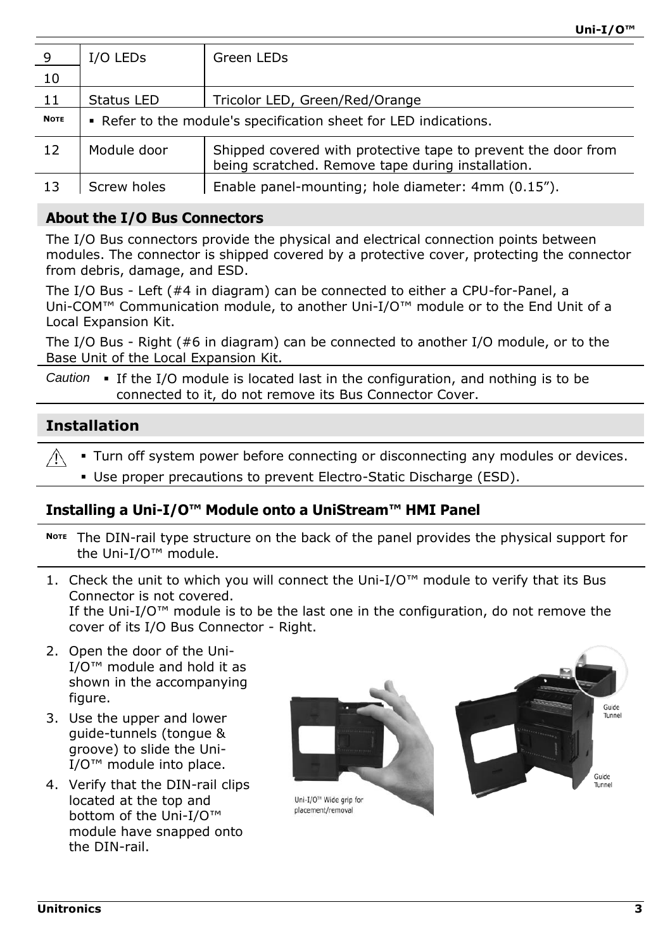| - 9         | I/O LEDS                                                         | Green LEDs                                                                                                         |  |
|-------------|------------------------------------------------------------------|--------------------------------------------------------------------------------------------------------------------|--|
| 10          |                                                                  |                                                                                                                    |  |
| 11          | Status LED                                                       | Tricolor LED, Green/Red/Orange                                                                                     |  |
| <b>NOTE</b> | • Refer to the module's specification sheet for LED indications. |                                                                                                                    |  |
| 12          | Module door                                                      | Shipped covered with protective tape to prevent the door from<br>being scratched. Remove tape during installation. |  |
| 13          | Screw holes                                                      | Enable panel-mounting; hole diameter: 4mm (0.15").                                                                 |  |

### **About the I/O Bus Connectors**

The I/O Bus connectors provide the physical and electrical connection points between modules. The connector is shipped covered by a protective cover, protecting the connector from debris, damage, and ESD.

The I/O Bus - Left (#4 in diagram) can be connected to either a CPU-for-Panel, a Uni-COM™ Communication module, to another Uni-I/O™ module or to the End Unit of a Local Expansion Kit.

The I/O Bus - Right (#6 in diagram) can be connected to another I/O module, or to the Base Unit of the Local Expansion Kit.

Caution • If the I/O module is located last in the configuration, and nothing is to be connected to it, do not remove its Bus Connector Cover.

# **Installation**

 Turn off system power before connecting or disconnecting any modules or devices.  $\bigwedge$ 

Use proper precautions to prevent Electro-Static Discharge (ESD).

#### <span id="page-2-0"></span>**Installing a Uni-I/O™ Module onto a UniStream™ HMI Panel**

- **<sup>N</sup>OTE** The DIN-rail type structure on the back of the panel provides the physical support for the Uni-I/O™ module.
- 1. Check the unit to which you will connect the Uni- $I/O<sup>™</sup>$  module to verify that its Bus Connector is not covered. If the Uni-I/O<sup>™</sup> module is to be the last one in the configuration, do not remove the cover of its I/O Bus Connector - Right.
- 2. Open the door of the Uni- $I/O^{\text{TM}}$  module and hold it as shown in the accompanying figure.
- 3. Use the upper and lower guide-tunnels (tongue & groove) to slide the Uni-I/O™ module into place.
- 4. Verify that the DIN-rail clips located at the top and bottom of the Uni-I/O™ module have snapped onto the DIN-rail.



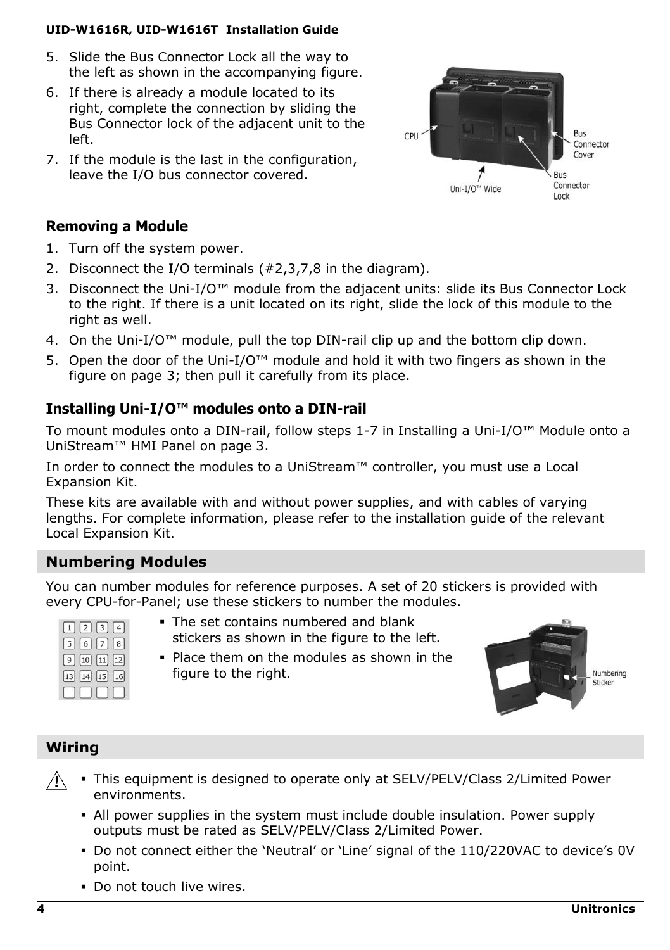# **UID-W1616R, UID-W1616T Installation Guide**

- 5. Slide the Bus Connector Lock all the way to the left as shown in the accompanying figure.
- 6. If there is already a module located to its right, complete the connection by sliding the Bus Connector lock of the adjacent unit to the left.
- 7. If the module is the last in the configuration, leave the I/O bus connector covered.

# **Removing a Module**

- 1. Turn off the system power.
- 2. Disconnect the I/O terminals (#2,3,7,8 in the diagram).
- 3. Disconnect the Uni-I/O™ module from the adjacent units: slide its Bus Connector Lock to the right. If there is a unit located on its right, slide the lock of this module to the right as well.
- 4. On the Uni-I/O<sup>™</sup> module, pull the top DIN-rail clip up and the bottom clip down.
- 5. Open the door of the Uni-I/O™ module and hold it with two fingers as shown in the figure on page [3;](#page-2-0) then pull it carefully from its place.

# **Installing Uni-I/O™ modules onto a DIN-rail**

To mount modules onto a DIN-rail, follow steps 1-7 in [Installing a Uni-](#page-2-0)I/O™ Module onto a [UniStream™](#page-2-0) HMI Panel [on page 3.](#page-2-0)

In order to connect the modules to a UniStream™ controller, you must use a Local Expansion Kit.

These kits are available with and without power supplies, and with cables of varying lengths. For complete information, please refer to the installation guide of the relevant Local Expansion Kit.

# **Numbering Modules**

You can number modules for reference purposes. A set of 20 stickers is provided with every CPU-for-Panel; use these stickers to number the modules.

| $\vert \vert 2 \vert \vert 3 \vert$ |
|-------------------------------------|
| $6 \mid 7 \mid$<br>5                |
| 9 10 11                             |
| $14$ 15 16                          |
|                                     |

- The set contains numbered and blank stickers as shown in the figure to the left.
- Place them on the modules as shown in the figure to the right.



# **Wiring**

- $\mathbb{A}$  This equipment is designed to operate only at SELV/PELV/Class 2/Limited Power environments.
	- All power supplies in the system must include double insulation. Power supply outputs must be rated as SELV/PELV/Class 2/Limited Power.
	- Do not connect either the 'Neutral' or 'Line' signal of the 110/220VAC to device's 0V point.
	- Do not touch live wires.

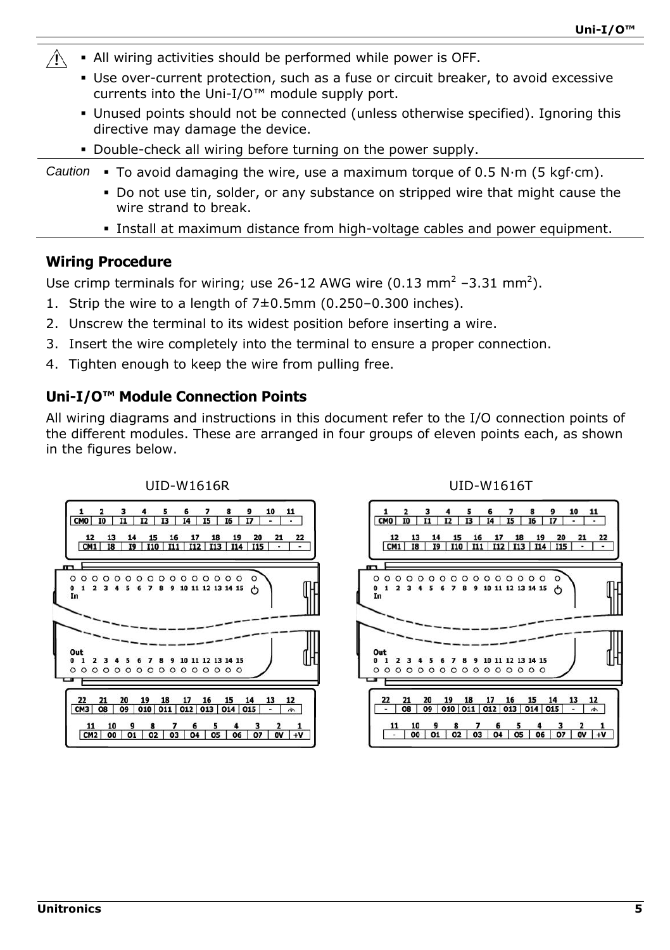- Λ All wiring activities should be performed while power is OFF.
	- Use over-current protection, such as a fuse or circuit breaker, to avoid excessive currents into the Uni-I/O™ module supply port.
	- Unused points should not be connected (unless otherwise specified). Ignoring this directive may damage the device.
	- Double-check all wiring before turning on the power supply.

*Caution* . To avoid damaging the wire, use a maximum torque of  $0.5$  N·m (5 kgf·cm).

- Do not use tin, solder, or any substance on stripped wire that might cause the wire strand to break.
- Install at maximum distance from high-voltage cables and power equipment.

#### **Wiring Procedure**

Use crimp terminals for wiring; use 26-12 AWG wire (0.13 mm<sup>2</sup> –3.31 mm<sup>2</sup>).

- 1. Strip the wire to a length of 7±0.5mm (0.250–0.300 inches).
- 2. Unscrew the terminal to its widest position before inserting a wire.
- 3. Insert the wire completely into the terminal to ensure a proper connection.
- 4. Tighten enough to keep the wire from pulling free.

### **Uni-I/O™ Module Connection Points**

All wiring diagrams and instructions in this document refer to the I/O connection points of the different modules. These are arranged in four groups of eleven points each, as shown in the figures below.



#### UID-W1616R UID-W1616T

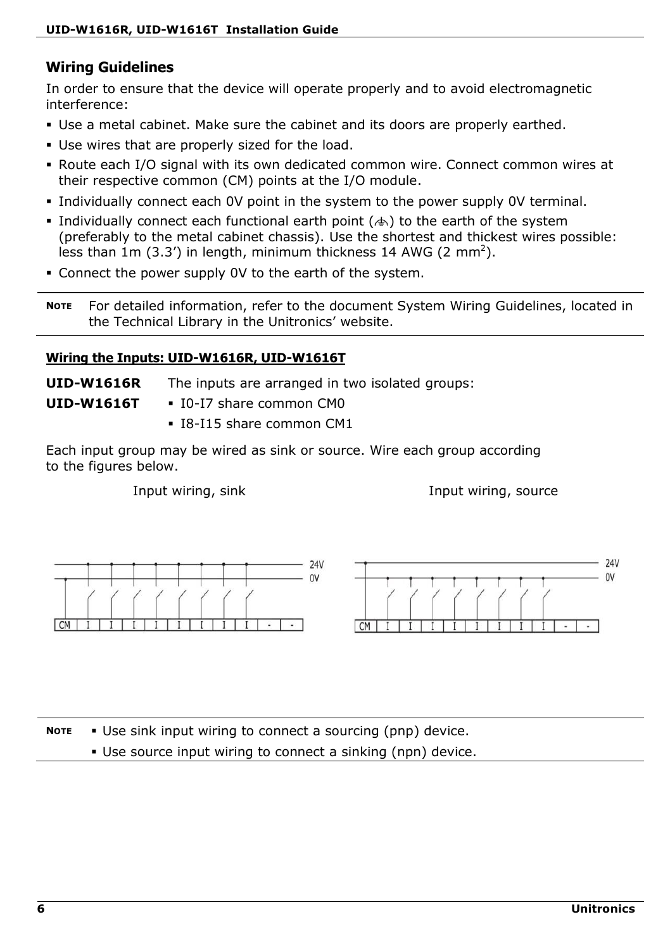# **Wiring Guidelines**

In order to ensure that the device will operate properly and to avoid electromagnetic interference:

- Use a metal cabinet. Make sure the cabinet and its doors are properly earthed.
- Use wires that are properly sized for the load.
- Route each I/O signal with its own dedicated common wire. Connect common wires at their respective common (CM) points at the I/O module.
- Individually connect each 0V point in the system to the power supply 0V terminal.
- Individually connect each functional earth point ( $\leftrightarrow$ ) to the earth of the system (preferably to the metal cabinet chassis). Use the shortest and thickest wires possible: less than 1m (3.3') in length, minimum thickness 14 AWG (2 mm<sup>2</sup>).
- Connect the power supply 0V to the earth of the system.

**NOTE** For detailed information, refer to the document System Wiring Guidelines, located in the Technical Library in the Unitronics' website.

#### **Wiring the Inputs: UID-W1616R, UID-W1616T**

**UID-W1616R** The inputs are arranged in two isolated groups:

**UID-W1616T**

- $\blacksquare$  I0-I7 share common CM0
- I8-I15 share common CM1

Each input group may be wired as sink or source. Wire each group according to the figures below.

Input wiring, sink Input wiring, source



**NOTE** Use sink input wiring to connect a sourcing (pnp) device.

Use source input wiring to connect a sinking (npn) device.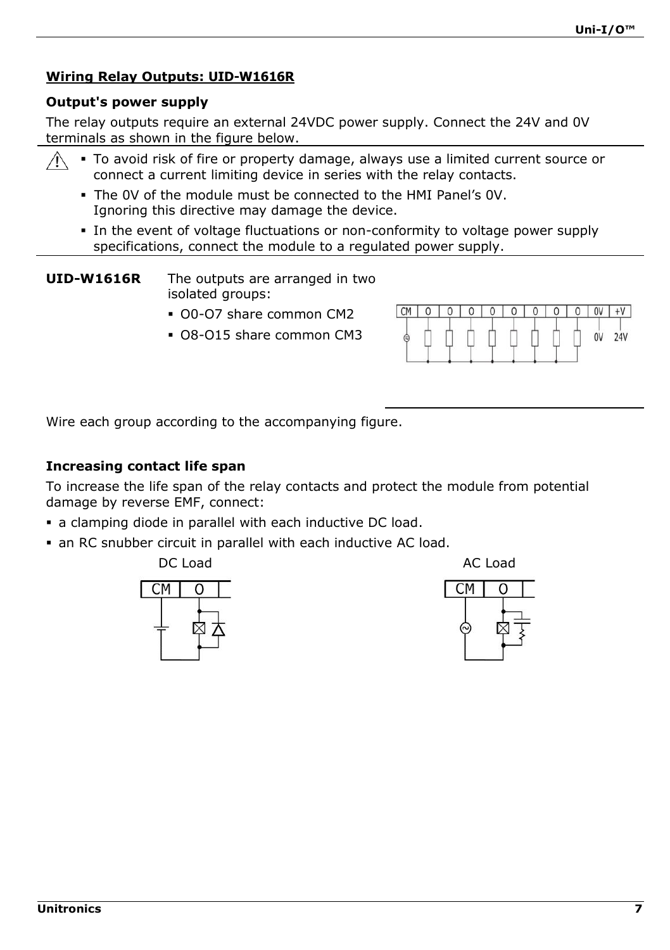# **Wiring Relay Outputs: UID-W1616R**

#### **Output's power supply**

The relay outputs require an external 24VDC power supply. Connect the 24V and 0V terminals as shown in the figure below.

- To avoid risk of fire or property damage, always use a limited current source or connect a current limiting device in series with the relay contacts.
	- The 0V of the module must be connected to the HMI Panel's 0V. Ignoring this directive may damage the device.
	- In the event of voltage fluctuations or non-conformity to voltage power supply specifications, connect the module to a regulated power supply.

**UID-W1616R** The outputs are arranged in two isolated groups:

- O0-O7 share common CM2
- O8-O15 share common CM3



Wire each group according to the accompanying figure.

### **Increasing contact life span**

To increase the life span of the relay contacts and protect the module from potential damage by reverse EMF, connect:

- a clamping diode in parallel with each inductive DC load.
- an RC snubber circuit in parallel with each inductive AC load.